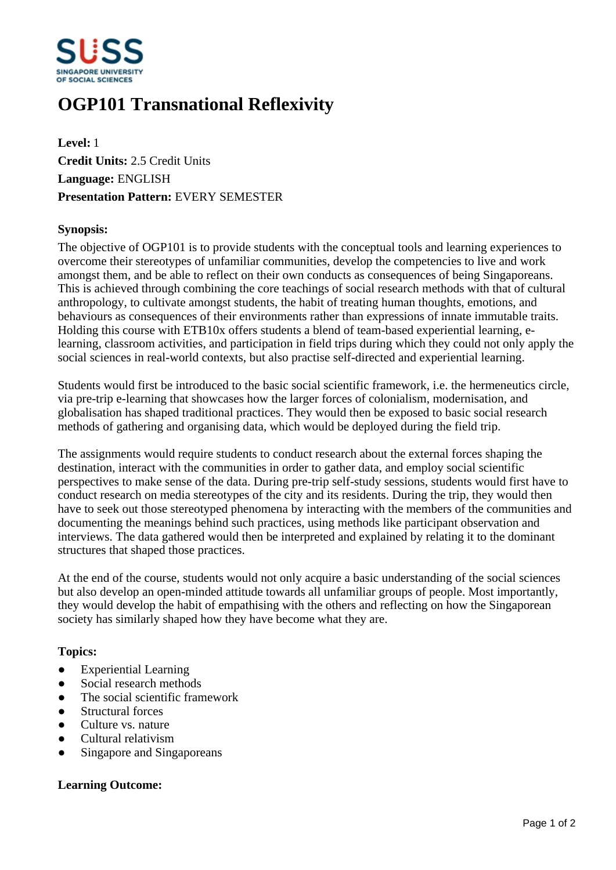

# **OGP101 Transnational Reflexivity**

**Level:** 1 **Credit Units:** 2.5 Credit Units **Language:** ENGLISH **Presentation Pattern:** EVERY SEMESTER

### **Synopsis:**

The objective of OGP101 is to provide students with the conceptual tools and learning experiences to overcome their stereotypes of unfamiliar communities, develop the competencies to live and work amongst them, and be able to reflect on their own conducts as consequences of being Singaporeans. This is achieved through combining the core teachings of social research methods with that of cultural anthropology, to cultivate amongst students, the habit of treating human thoughts, emotions, and behaviours as consequences of their environments rather than expressions of innate immutable traits. Holding this course with ETB10x offers students a blend of team-based experiential learning, elearning, classroom activities, and participation in field trips during which they could not only apply the social sciences in real-world contexts, but also practise self-directed and experiential learning.

Students would first be introduced to the basic social scientific framework, i.e. the hermeneutics circle, via pre-trip e-learning that showcases how the larger forces of colonialism, modernisation, and globalisation has shaped traditional practices. They would then be exposed to basic social research methods of gathering and organising data, which would be deployed during the field trip.

The assignments would require students to conduct research about the external forces shaping the destination, interact with the communities in order to gather data, and employ social scientific perspectives to make sense of the data. During pre-trip self-study sessions, students would first have to conduct research on media stereotypes of the city and its residents. During the trip, they would then have to seek out those stereotyped phenomena by interacting with the members of the communities and documenting the meanings behind such practices, using methods like participant observation and interviews. The data gathered would then be interpreted and explained by relating it to the dominant structures that shaped those practices.

At the end of the course, students would not only acquire a basic understanding of the social sciences but also develop an open-minded attitude towards all unfamiliar groups of people. Most importantly, they would develop the habit of empathising with the others and reflecting on how the Singaporean society has similarly shaped how they have become what they are.

#### **Topics:**

- Experiential Learning
- Social research methods
- The social scientific framework
- Structural forces
- ƔCulture vs. nature
- ƔCultural relativism
- Singapore and Singaporeans

## **Learning Outcome:**